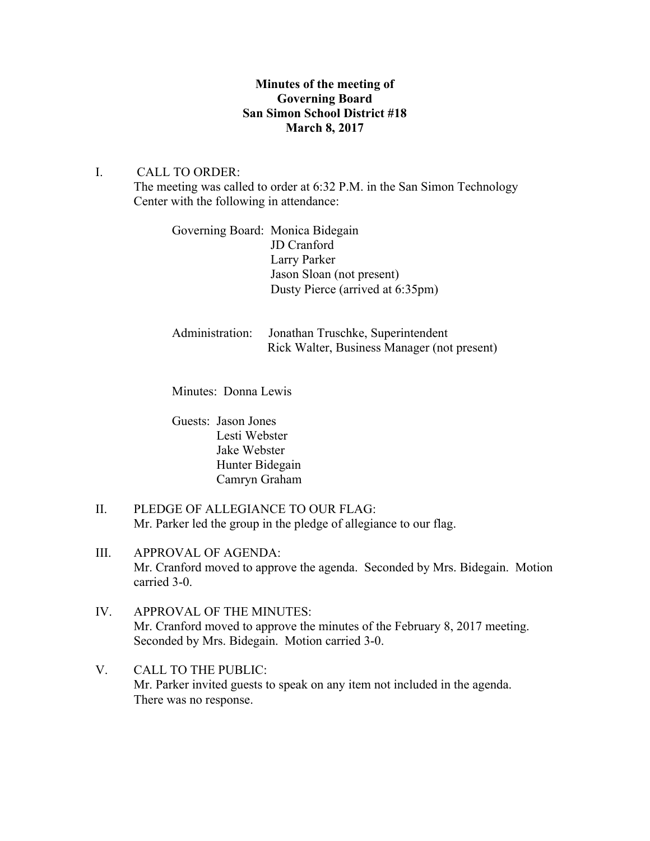# **Minutes of the meeting of Governing Board San Simon School District #18 March 8, 2017**

### I. CALL TO ORDER:

The meeting was called to order at 6:32 P.M. in the San Simon Technology Center with the following in attendance:

Governing Board: Monica Bidegain JD Cranford Larry Parker Jason Sloan (not present) Dusty Pierce (arrived at 6:35pm)

Administration: Jonathan Truschke, Superintendent Rick Walter, Business Manager (not present)

Minutes: Donna Lewis

Guests: Jason Jones Lesti Webster Jake Webster Hunter Bidegain Camryn Graham

- II. PLEDGE OF ALLEGIANCE TO OUR FLAG: Mr. Parker led the group in the pledge of allegiance to our flag.
- III. APPROVAL OF AGENDA: Mr. Cranford moved to approve the agenda. Seconded by Mrs. Bidegain. Motion carried 3-0.
- IV. APPROVAL OF THE MINUTES: Mr. Cranford moved to approve the minutes of the February 8, 2017 meeting. Seconded by Mrs. Bidegain. Motion carried 3-0.
- V. CALL TO THE PUBLIC: Mr. Parker invited guests to speak on any item not included in the agenda. There was no response.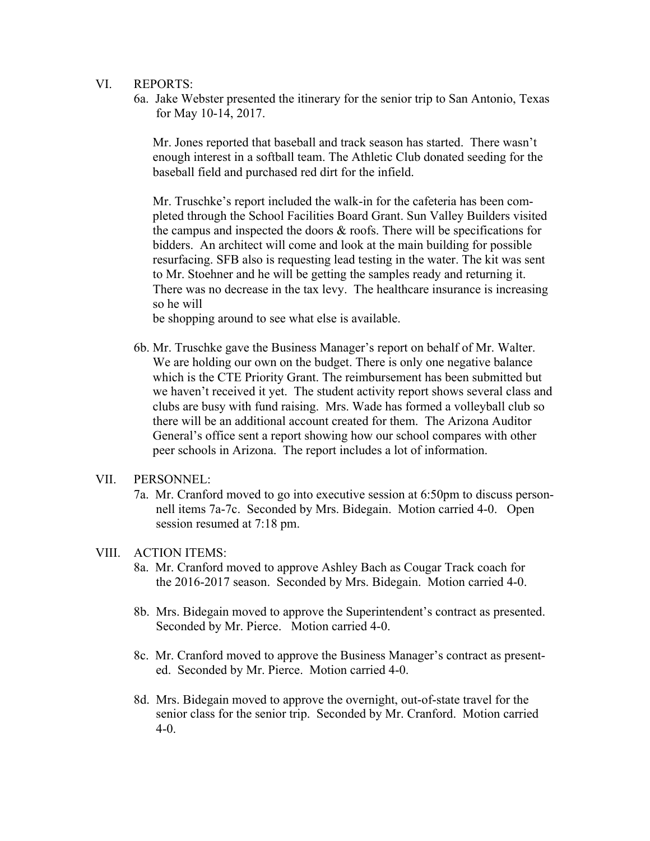- VI. REPORTS:
	- 6a. Jake Webster presented the itinerary for the senior trip to San Antonio, Texas for May 10-14, 2017.

 Mr. Jones reported that baseball and track season has started. There wasn't enough interest in a softball team. The Athletic Club donated seeding for the baseball field and purchased red dirt for the infield.

Mr. Truschke's report included the walk-in for the cafeteria has been completed through the School Facilities Board Grant. Sun Valley Builders visited the campus and inspected the doors & roofs. There will be specifications for bidders. An architect will come and look at the main building for possible resurfacing. SFB also is requesting lead testing in the water. The kit was sent to Mr. Stoehner and he will be getting the samples ready and returning it. There was no decrease in the tax levy. The healthcare insurance is increasing so he will

be shopping around to see what else is available.

6b. Mr. Truschke gave the Business Manager's report on behalf of Mr. Walter. We are holding our own on the budget. There is only one negative balance which is the CTE Priority Grant. The reimbursement has been submitted but we haven't received it yet. The student activity report shows several class and clubs are busy with fund raising. Mrs. Wade has formed a volleyball club so there will be an additional account created for them. The Arizona Auditor General's office sent a report showing how our school compares with other peer schools in Arizona. The report includes a lot of information.

### VII. PERSONNEL:

7a. Mr. Cranford moved to go into executive session at 6:50pm to discuss person nell items 7a-7c. Seconded by Mrs. Bidegain. Motion carried 4-0. Open session resumed at 7:18 pm.

#### VIII. ACTION ITEMS:

- 8a. Mr. Cranford moved to approve Ashley Bach as Cougar Track coach for the 2016-2017 season. Seconded by Mrs. Bidegain. Motion carried 4-0.
- 8b. Mrs. Bidegain moved to approve the Superintendent's contract as presented. Seconded by Mr. Pierce. Motion carried 4-0.
- 8c. Mr. Cranford moved to approve the Business Manager's contract as present ed. Seconded by Mr. Pierce. Motion carried 4-0.
- 8d. Mrs. Bidegain moved to approve the overnight, out-of-state travel for the senior class for the senior trip. Seconded by Mr. Cranford. Motion carried 4-0.